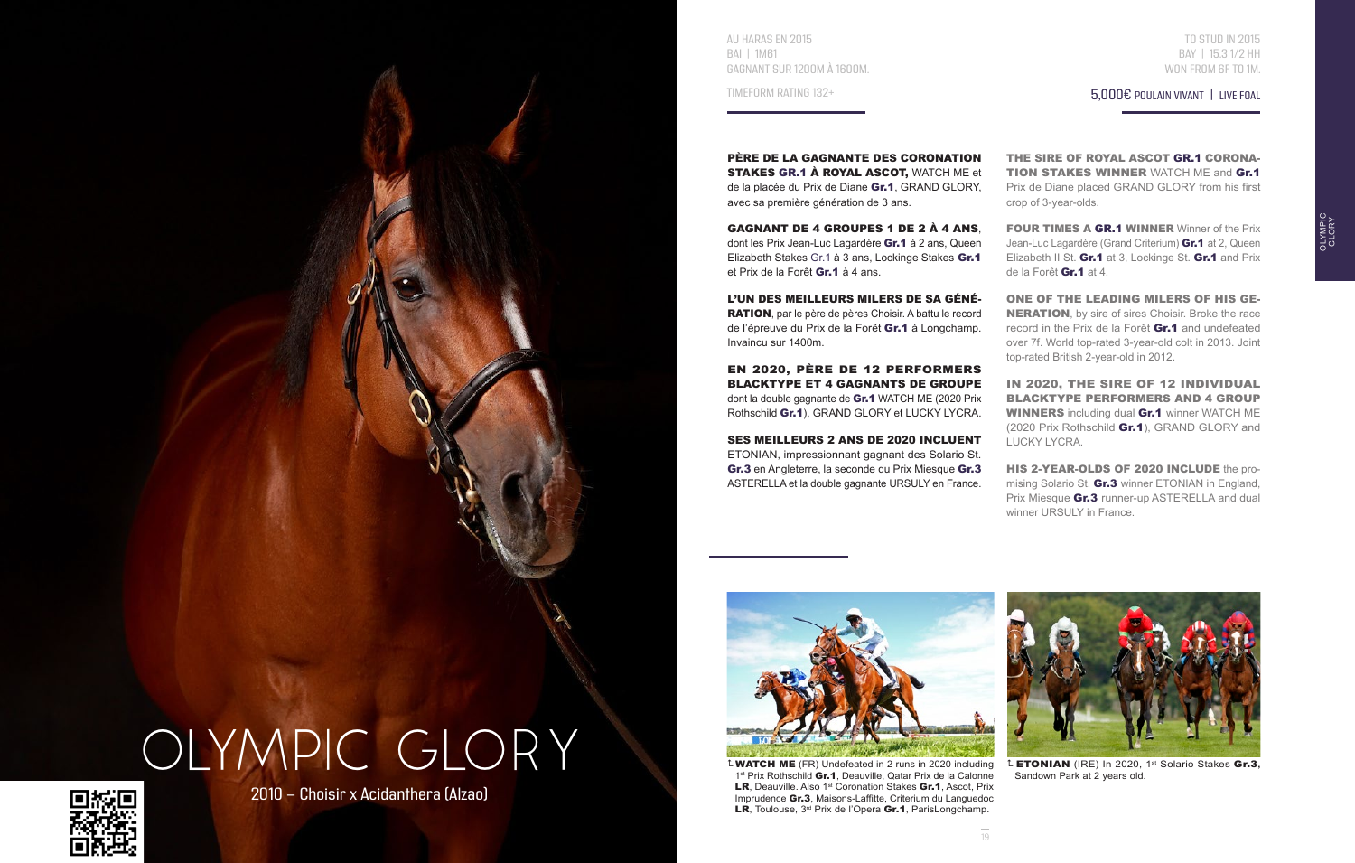AU HARAS EN 2015 BAI | 1M61 GAGNANT SUR 1200M À 1600M.

TIMEFORM RATING 132+

PÈRE DE LA GAGNANTE DES CORONATION STAKES GR.1 À ROYAL ASCOT, WATCH ME et de la placée du Prix de Diane Gr.1, GRAND GLORY, avec sa première génération de 3 ans.

GAGNANT DE 4 GROUPES 1 DE 2 À 4 ANS, dont les Prix Jean-Luc Lagardère Gr.1 à 2 ans. Queen Elizabeth Stakes Gr.1 à 3 ans, Lockinge Stakes Gr.1 et Prix de la Forêt Gr.1 à 4 ans.

L'UN DES MEILLEURS MILERS DE SA GÉNÉ-RATION, par le père de pères Choisir. A battu le record de l'épreuve du Prix de la Forêt Gr.1 à Longchamp. Invaincu sur 1400m.

EN 2020, PÈRE DE 12 PERFORMERS BLACKTYPE ET 4 GAGNANTS DE GROUPE dont la double gagnante de Gr.1 WATCH ME (2020 Prix Rothschild Gr.1), GRAND GLORY et LUCKY LYCRA.

SES MEILLEURS 2 ANS DE 2020 INCLUENT ETONIAN, impressionnant gagnant des Solario St. Gr.3 en Angleterre, la seconde du Prix Miesque Gr.3 ASTERELLA et la double gagnante URSULY en France.

5,000€ POULAIN VIVANT | LIVE FOAL BAY | 15.3 1/2 HH WON FROM 6F TO 1M.

TO STUD IN 2015

OLYMPIC **CLORY** 

THE SIRE OF ROYAL ASCOT GR.1 CORONA-TION STAKES WINNER WATCH ME and Gr.1 Prix de Diane placed GRAND GLORY from his first crop of 3-year-olds.

FOUR TIMES A GR.1 WINNER Winner of the Prix Jean-Luc Lagardère (Grand Criterium) **Gr.1** at 2, Queen Elizabeth II St. Gr.1 at 3, Lockinge St. Gr.1 and Prix de la Forêt Gr.1 at 4.

ONE OF THE LEADING MILERS OF HIS GE-**NERATION**, by sire of sires Choisir. Broke the race record in the Prix de la Forêt Gr.1 and undefeated over 7f. World top-rated 3-year-old colt in 2013. Joint top-rated British 2-year-old in 2012.

IN 2020, THE SIRE OF 12 INDIVIDUAL BLACKTYPE PERFORMERS AND 4 GROUP WINNERS including dual Gr.1 winner WATCH ME (2020 Prix Rothschild Gr.1), GRAND GLORY and LUCKY LYCRA.

HIS 2-YEAR-OLDS OF 2020 INCLUDE the promising Solario St. **Gr.3** winner ETONIAN in England. Prix Miesque Gr.3 runner-up ASTERELLA and dual winner URSULY in France.



 WATCH ME (FR) Undefeated in 2 runs in 2020 including 1st Prix Rothschild Gr.1, Deauville, Qatar Prix de la Calonne LR, Deauville. Also 1<sup>st</sup> Coronation Stakes Gr.1, Ascot, Prix Imprudence Gr.3, Maisons-Laffitte, Criterium du Languedoc LR, Toulouse, 3<sup>rd</sup> Prix de l'Opera Gr.1, ParisLongchamp.



 ETONIAN (IRE) In 2020, 1st Solario Stakes Gr.3**,**  Sandown Park at 2 years old.





2010 - Choisir x Acidanthera (Alzao)